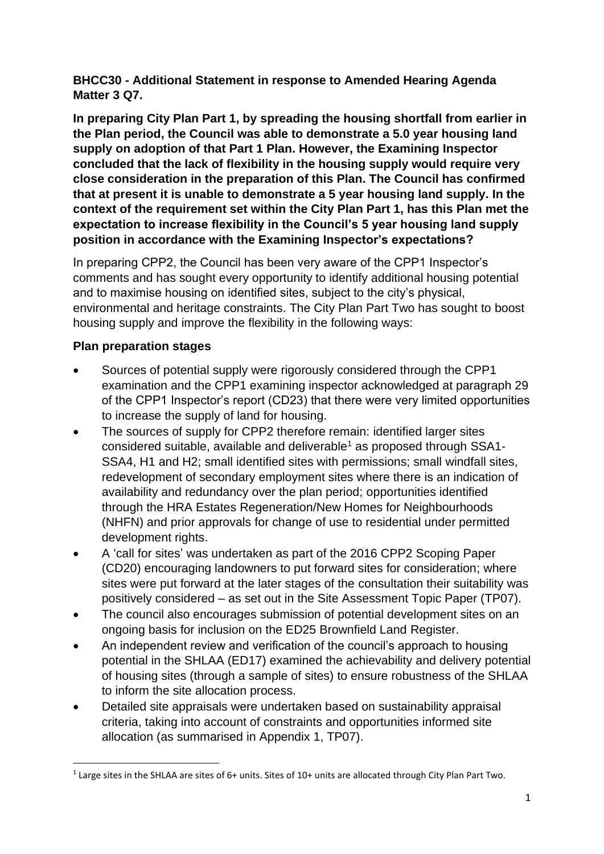**BHCC30 - Additional Statement in response to Amended Hearing Agenda Matter 3 Q7.**

**In preparing City Plan Part 1, by spreading the housing shortfall from earlier in the Plan period, the Council was able to demonstrate a 5.0 year housing land supply on adoption of that Part 1 Plan. However, the Examining Inspector concluded that the lack of flexibility in the housing supply would require very close consideration in the preparation of this Plan. The Council has confirmed that at present it is unable to demonstrate a 5 year housing land supply. In the context of the requirement set within the City Plan Part 1, has this Plan met the expectation to increase flexibility in the Council's 5 year housing land supply position in accordance with the Examining Inspector's expectations?**

In preparing CPP2, the Council has been very aware of the CPP1 Inspector's comments and has sought every opportunity to identify additional housing potential and to maximise housing on identified sites, subject to the city's physical, environmental and heritage constraints. The City Plan Part Two has sought to boost housing supply and improve the flexibility in the following ways:

## **Plan preparation stages**

- Sources of potential supply were rigorously considered through the CPP1 examination and the CPP1 examining inspector acknowledged at paragraph 29 of the CPP1 Inspector's report (CD23) that there were very limited opportunities to increase the supply of land for housing.
- The sources of supply for CPP2 therefore remain: identified larger sites considered suitable, available and deliverable<sup>1</sup> as proposed through SSA1- SSA4, H1 and H2; small identified sites with permissions; small windfall sites, redevelopment of secondary employment sites where there is an indication of availability and redundancy over the plan period; opportunities identified through the HRA Estates Regeneration/New Homes for Neighbourhoods (NHFN) and prior approvals for change of use to residential under permitted development rights.
- A 'call for sites' was undertaken as part of the 2016 CPP2 Scoping Paper (CD20) encouraging landowners to put forward sites for consideration; where sites were put forward at the later stages of the consultation their suitability was positively considered – as set out in the Site Assessment Topic Paper (TP07).
- The council also encourages submission of potential development sites on an ongoing basis for inclusion on the ED25 Brownfield Land Register.
- An independent review and verification of the council's approach to housing potential in the SHLAA (ED17) examined the achievability and delivery potential of housing sites (through a sample of sites) to ensure robustness of the SHLAA to inform the site allocation process.
- Detailed site appraisals were undertaken based on sustainability appraisal criteria, taking into account of constraints and opportunities informed site allocation (as summarised in Appendix 1, TP07).

 $1$  Large sites in the SHLAA are sites of 6+ units. Sites of 10+ units are allocated through City Plan Part Two.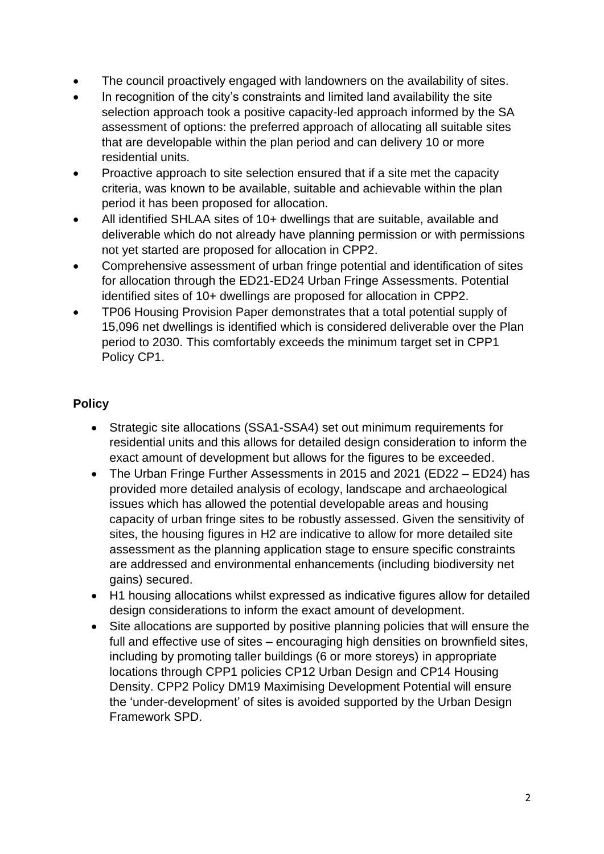- The council proactively engaged with landowners on the availability of sites.
- In recognition of the city's constraints and limited land availability the site selection approach took a positive capacity-led approach informed by the SA assessment of options: the preferred approach of allocating all suitable sites that are developable within the plan period and can delivery 10 or more residential units.
- Proactive approach to site selection ensured that if a site met the capacity criteria, was known to be available, suitable and achievable within the plan period it has been proposed for allocation.
- All identified SHLAA sites of 10+ dwellings that are suitable, available and deliverable which do not already have planning permission or with permissions not yet started are proposed for allocation in CPP2.
- Comprehensive assessment of urban fringe potential and identification of sites for allocation through the ED21-ED24 Urban Fringe Assessments. Potential identified sites of 10+ dwellings are proposed for allocation in CPP2.
- TP06 Housing Provision Paper demonstrates that a total potential supply of 15,096 net dwellings is identified which is considered deliverable over the Plan period to 2030. This comfortably exceeds the minimum target set in CPP1 Policy CP1.

## **Policy**

- Strategic site allocations (SSA1-SSA4) set out minimum requirements for residential units and this allows for detailed design consideration to inform the exact amount of development but allows for the figures to be exceeded.
- The Urban Fringe Further Assessments in 2015 and 2021 (ED22 ED24) has provided more detailed analysis of ecology, landscape and archaeological issues which has allowed the potential developable areas and housing capacity of urban fringe sites to be robustly assessed. Given the sensitivity of sites, the housing figures in H2 are indicative to allow for more detailed site assessment as the planning application stage to ensure specific constraints are addressed and environmental enhancements (including biodiversity net gains) secured.
- H1 housing allocations whilst expressed as indicative figures allow for detailed design considerations to inform the exact amount of development.
- Site allocations are supported by positive planning policies that will ensure the full and effective use of sites – encouraging high densities on brownfield sites, including by promoting taller buildings (6 or more storeys) in appropriate locations through CPP1 policies CP12 Urban Design and CP14 Housing Density. CPP2 Policy DM19 Maximising Development Potential will ensure the 'under-development' of sites is avoided supported by the Urban Design Framework SPD.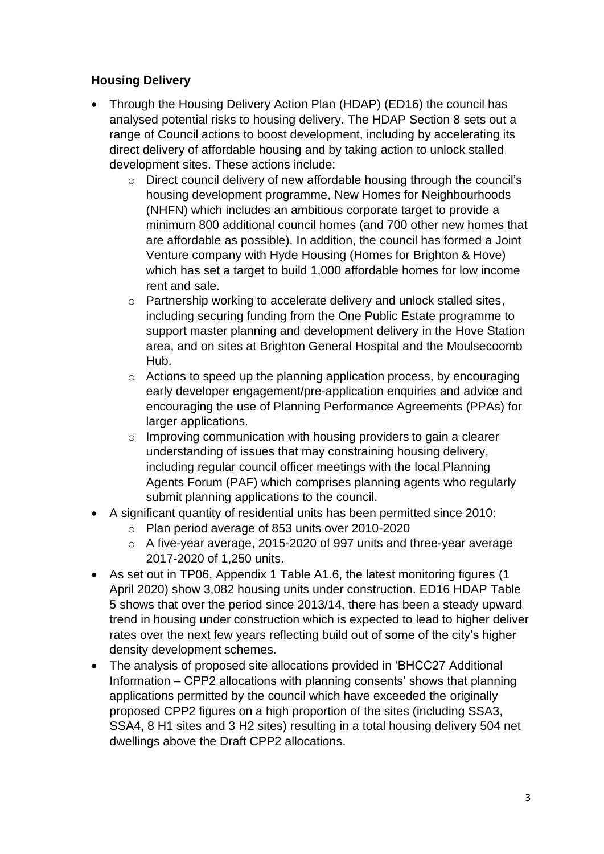## **Housing Delivery**

- Through the Housing Delivery Action Plan (HDAP) (ED16) the council has analysed potential risks to housing delivery. The HDAP Section 8 sets out a range of Council actions to boost development, including by accelerating its direct delivery of affordable housing and by taking action to unlock stalled development sites. These actions include:
	- o Direct council delivery of new affordable housing through the council's housing development programme, New Homes for Neighbourhoods (NHFN) which includes an ambitious corporate target to provide a minimum 800 additional council homes (and 700 other new homes that are affordable as possible). In addition, the council has formed a Joint Venture company with Hyde Housing (Homes for Brighton & Hove) which has set a target to build 1,000 affordable homes for low income rent and sale.
	- o Partnership working to accelerate delivery and unlock stalled sites, including securing funding from the One Public Estate programme to support master planning and development delivery in the Hove Station area, and on sites at Brighton General Hospital and the Moulsecoomb Hub.
	- o Actions to speed up the planning application process, by encouraging early developer engagement/pre-application enquiries and advice and encouraging the use of Planning Performance Agreements (PPAs) for larger applications.
	- o Improving communication with housing providers to gain a clearer understanding of issues that may constraining housing delivery, including regular council officer meetings with the local Planning Agents Forum (PAF) which comprises planning agents who regularly submit planning applications to the council.
- A significant quantity of residential units has been permitted since 2010:
	- o Plan period average of 853 units over 2010-2020
	- o A five-year average, 2015-2020 of 997 units and three-year average 2017-2020 of 1,250 units.
- As set out in TP06, Appendix 1 Table A1.6, the latest monitoring figures (1 April 2020) show 3,082 housing units under construction. ED16 HDAP Table 5 shows that over the period since 2013/14, there has been a steady upward trend in housing under construction which is expected to lead to higher deliver rates over the next few years reflecting build out of some of the city's higher density development schemes.
- The analysis of proposed site allocations provided in 'BHCC27 Additional Information – CPP2 allocations with planning consents' shows that planning applications permitted by the council which have exceeded the originally proposed CPP2 figures on a high proportion of the sites (including SSA3, SSA4, 8 H1 sites and 3 H2 sites) resulting in a total housing delivery 504 net dwellings above the Draft CPP2 allocations.